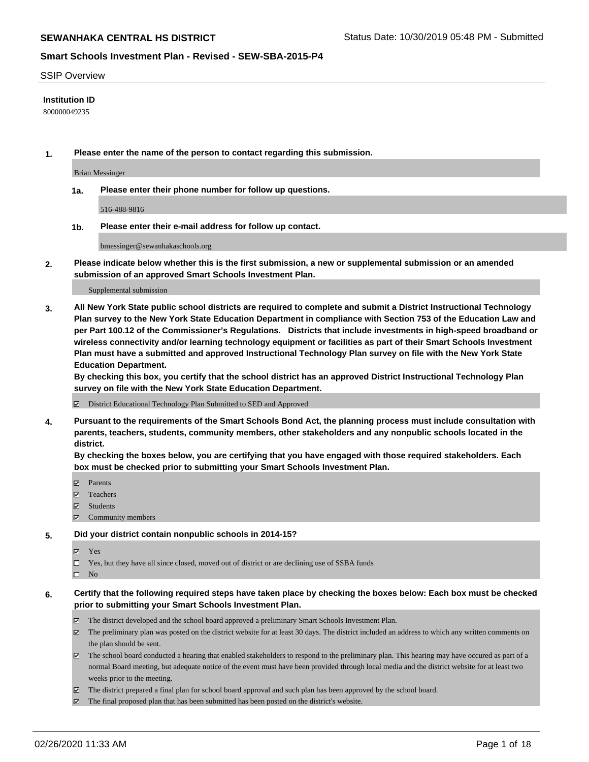### SSIP Overview

## **Institution ID**

800000049235

**1. Please enter the name of the person to contact regarding this submission.**

Brian Messinger

**1a. Please enter their phone number for follow up questions.**

516-488-9816

**1b. Please enter their e-mail address for follow up contact.**

bmessinger@sewanhakaschools.org

**2. Please indicate below whether this is the first submission, a new or supplemental submission or an amended submission of an approved Smart Schools Investment Plan.**

#### Supplemental submission

**3. All New York State public school districts are required to complete and submit a District Instructional Technology Plan survey to the New York State Education Department in compliance with Section 753 of the Education Law and per Part 100.12 of the Commissioner's Regulations. Districts that include investments in high-speed broadband or wireless connectivity and/or learning technology equipment or facilities as part of their Smart Schools Investment Plan must have a submitted and approved Instructional Technology Plan survey on file with the New York State Education Department.** 

**By checking this box, you certify that the school district has an approved District Instructional Technology Plan survey on file with the New York State Education Department.**

District Educational Technology Plan Submitted to SED and Approved

**4. Pursuant to the requirements of the Smart Schools Bond Act, the planning process must include consultation with parents, teachers, students, community members, other stakeholders and any nonpublic schools located in the district.** 

**By checking the boxes below, you are certifying that you have engaged with those required stakeholders. Each box must be checked prior to submitting your Smart Schools Investment Plan.**

- **マ** Parents
- Teachers
- Students
- Community members

#### **5. Did your district contain nonpublic schools in 2014-15?**

**冈** Yes

Yes, but they have all since closed, moved out of district or are declining use of SSBA funds

 $\square$  No

- **6. Certify that the following required steps have taken place by checking the boxes below: Each box must be checked prior to submitting your Smart Schools Investment Plan.**
	- The district developed and the school board approved a preliminary Smart Schools Investment Plan.
	- $\boxtimes$  The preliminary plan was posted on the district website for at least 30 days. The district included an address to which any written comments on the plan should be sent.
	- $\boxtimes$  The school board conducted a hearing that enabled stakeholders to respond to the preliminary plan. This hearing may have occured as part of a normal Board meeting, but adequate notice of the event must have been provided through local media and the district website for at least two weeks prior to the meeting.
	- The district prepared a final plan for school board approval and such plan has been approved by the school board.
	- $\boxtimes$  The final proposed plan that has been submitted has been posted on the district's website.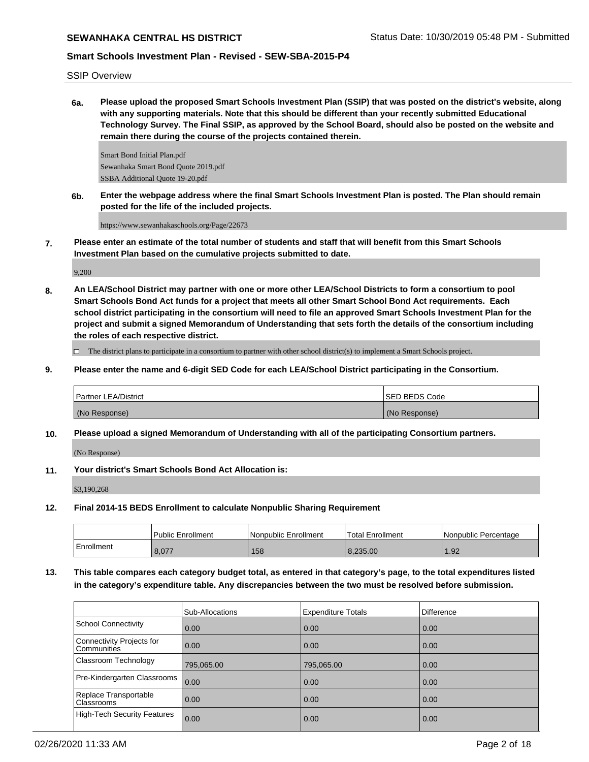SSIP Overview

**6a. Please upload the proposed Smart Schools Investment Plan (SSIP) that was posted on the district's website, along with any supporting materials. Note that this should be different than your recently submitted Educational Technology Survey. The Final SSIP, as approved by the School Board, should also be posted on the website and remain there during the course of the projects contained therein.**

Smart Bond Initial Plan.pdf Sewanhaka Smart Bond Quote 2019.pdf SSBA Additional Quote 19-20.pdf

**6b. Enter the webpage address where the final Smart Schools Investment Plan is posted. The Plan should remain posted for the life of the included projects.**

https://www.sewanhakaschools.org/Page/22673

**7. Please enter an estimate of the total number of students and staff that will benefit from this Smart Schools Investment Plan based on the cumulative projects submitted to date.**

9,200

**8. An LEA/School District may partner with one or more other LEA/School Districts to form a consortium to pool Smart Schools Bond Act funds for a project that meets all other Smart School Bond Act requirements. Each school district participating in the consortium will need to file an approved Smart Schools Investment Plan for the project and submit a signed Memorandum of Understanding that sets forth the details of the consortium including the roles of each respective district.**

 $\Box$  The district plans to participate in a consortium to partner with other school district(s) to implement a Smart Schools project.

**9. Please enter the name and 6-digit SED Code for each LEA/School District participating in the Consortium.**

| <b>Partner LEA/District</b> | <b>ISED BEDS Code</b> |
|-----------------------------|-----------------------|
| (No Response)               | (No Response)         |

**10. Please upload a signed Memorandum of Understanding with all of the participating Consortium partners.**

(No Response)

**11. Your district's Smart Schools Bond Act Allocation is:**

\$3,190,268

**12. Final 2014-15 BEDS Enrollment to calculate Nonpublic Sharing Requirement**

|                   | <b>Public Enrollment</b> | l Nonpublic Enrollment | <b>Total Enrollment</b> | I Nonpublic Percentage |
|-------------------|--------------------------|------------------------|-------------------------|------------------------|
| <b>Enrollment</b> | 8.077                    | 158                    | 8.235.00                | .92                    |

**13. This table compares each category budget total, as entered in that category's page, to the total expenditures listed in the category's expenditure table. Any discrepancies between the two must be resolved before submission.**

|                                          | Sub-Allocations | <b>Expenditure Totals</b> | <b>Difference</b> |
|------------------------------------------|-----------------|---------------------------|-------------------|
| <b>School Connectivity</b>               | 0.00            | 0.00                      | 0.00              |
| Connectivity Projects for<br>Communities | 0.00            | 0.00                      | 0.00              |
| Classroom Technology                     | 795,065.00      | 795,065.00                | 0.00              |
| Pre-Kindergarten Classrooms              | 0.00            | 0.00                      | 0.00              |
| Replace Transportable<br>Classrooms      | 0.00            | 0.00                      | 0.00              |
| <b>High-Tech Security Features</b>       | 0.00            | 0.00                      | 0.00              |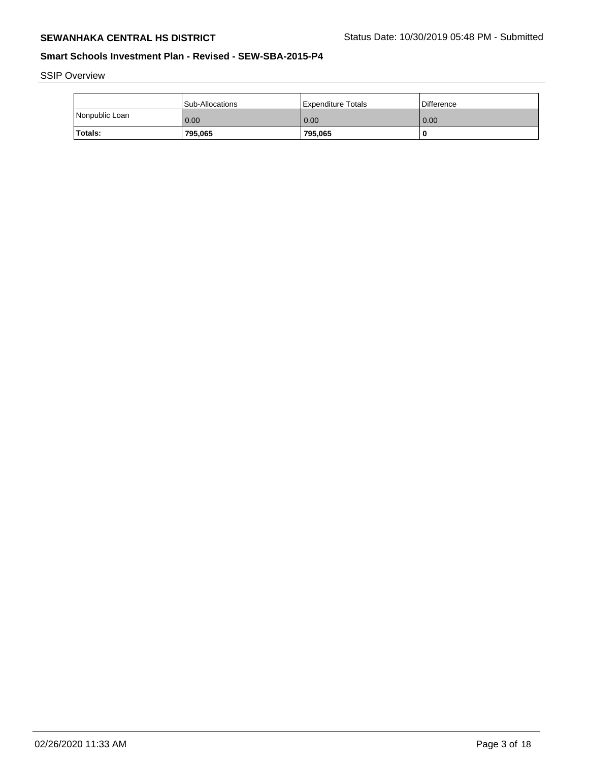SSIP Overview

|                | Sub-Allocations | l Expenditure Totals | <b>Difference</b> |
|----------------|-----------------|----------------------|-------------------|
| Nonpublic Loan | 0.00            | 0.00                 | 0.00              |
| Totals:        | 795,065         | 795,065              | -C                |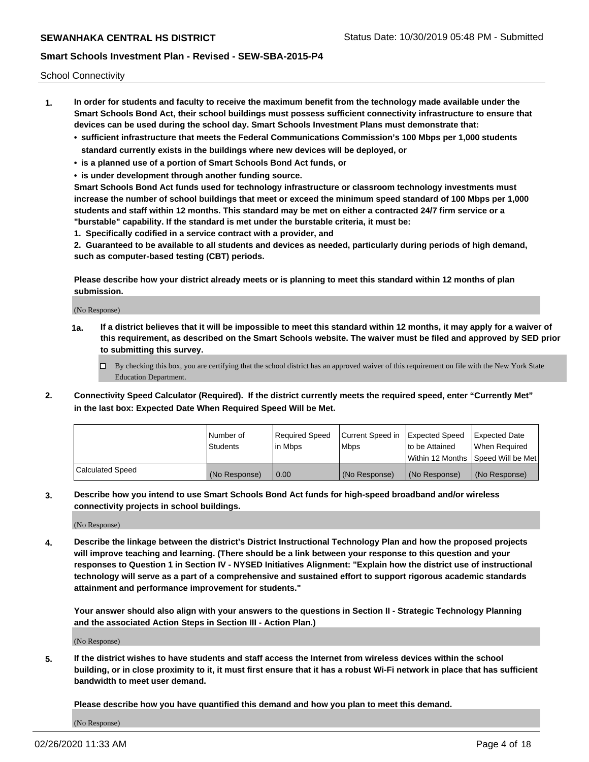School Connectivity

- **1. In order for students and faculty to receive the maximum benefit from the technology made available under the Smart Schools Bond Act, their school buildings must possess sufficient connectivity infrastructure to ensure that devices can be used during the school day. Smart Schools Investment Plans must demonstrate that:**
	- **• sufficient infrastructure that meets the Federal Communications Commission's 100 Mbps per 1,000 students standard currently exists in the buildings where new devices will be deployed, or**
	- **• is a planned use of a portion of Smart Schools Bond Act funds, or**
	- **• is under development through another funding source.**

**Smart Schools Bond Act funds used for technology infrastructure or classroom technology investments must increase the number of school buildings that meet or exceed the minimum speed standard of 100 Mbps per 1,000 students and staff within 12 months. This standard may be met on either a contracted 24/7 firm service or a "burstable" capability. If the standard is met under the burstable criteria, it must be:**

**1. Specifically codified in a service contract with a provider, and**

**2. Guaranteed to be available to all students and devices as needed, particularly during periods of high demand, such as computer-based testing (CBT) periods.**

**Please describe how your district already meets or is planning to meet this standard within 12 months of plan submission.**

(No Response)

**1a. If a district believes that it will be impossible to meet this standard within 12 months, it may apply for a waiver of this requirement, as described on the Smart Schools website. The waiver must be filed and approved by SED prior to submitting this survey.**

 $\Box$  By checking this box, you are certifying that the school district has an approved waiver of this requirement on file with the New York State Education Department.

**2. Connectivity Speed Calculator (Required). If the district currently meets the required speed, enter "Currently Met" in the last box: Expected Date When Required Speed Will be Met.**

|                  | l Number of     | Required Speed | Current Speed in | Expected Speed  | Expected Date                           |
|------------------|-----------------|----------------|------------------|-----------------|-----------------------------------------|
|                  | <b>Students</b> | In Mbps        | l Mbps           | to be Attained  | When Required                           |
|                  |                 |                |                  |                 | l Within 12 Months ISpeed Will be Met l |
| Calculated Speed | (No Response)   | 0.00           | (No Response)    | l (No Response) | l (No Response)                         |

**3. Describe how you intend to use Smart Schools Bond Act funds for high-speed broadband and/or wireless connectivity projects in school buildings.**

(No Response)

**4. Describe the linkage between the district's District Instructional Technology Plan and how the proposed projects will improve teaching and learning. (There should be a link between your response to this question and your responses to Question 1 in Section IV - NYSED Initiatives Alignment: "Explain how the district use of instructional technology will serve as a part of a comprehensive and sustained effort to support rigorous academic standards attainment and performance improvement for students."** 

**Your answer should also align with your answers to the questions in Section II - Strategic Technology Planning and the associated Action Steps in Section III - Action Plan.)**

(No Response)

**5. If the district wishes to have students and staff access the Internet from wireless devices within the school building, or in close proximity to it, it must first ensure that it has a robust Wi-Fi network in place that has sufficient bandwidth to meet user demand.**

**Please describe how you have quantified this demand and how you plan to meet this demand.**

(No Response)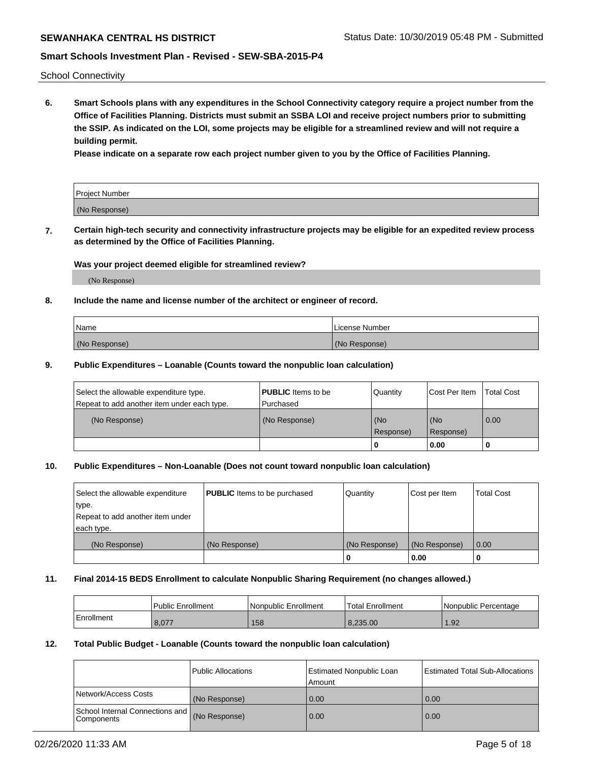School Connectivity

**6. Smart Schools plans with any expenditures in the School Connectivity category require a project number from the Office of Facilities Planning. Districts must submit an SSBA LOI and receive project numbers prior to submitting the SSIP. As indicated on the LOI, some projects may be eligible for a streamlined review and will not require a building permit.**

**Please indicate on a separate row each project number given to you by the Office of Facilities Planning.**

| Project Number |  |
|----------------|--|
| (No Response)  |  |

**7. Certain high-tech security and connectivity infrastructure projects may be eligible for an expedited review process as determined by the Office of Facilities Planning.**

### **Was your project deemed eligible for streamlined review?**

(No Response)

## **8. Include the name and license number of the architect or engineer of record.**

| Name          | License Number |
|---------------|----------------|
| (No Response) | (No Response)  |

## **9. Public Expenditures – Loanable (Counts toward the nonpublic loan calculation)**

| Select the allowable expenditure type.<br>Repeat to add another item under each type. | <b>PUBLIC</b> Items to be<br>l Purchased | Quantity           | Cost Per Item    | <b>Total Cost</b> |
|---------------------------------------------------------------------------------------|------------------------------------------|--------------------|------------------|-------------------|
| (No Response)                                                                         | (No Response)                            | l (No<br>Response) | (No<br>Response) | $\overline{0.00}$ |
|                                                                                       |                                          | 0                  | 0.00             |                   |

## **10. Public Expenditures – Non-Loanable (Does not count toward nonpublic loan calculation)**

| Select the allowable expenditure<br>type.<br>Repeat to add another item under<br>each type. | <b>PUBLIC</b> Items to be purchased | Quantity      | Cost per Item | <b>Total Cost</b> |
|---------------------------------------------------------------------------------------------|-------------------------------------|---------------|---------------|-------------------|
| (No Response)                                                                               | (No Response)                       | (No Response) | (No Response) | 0.00              |
|                                                                                             |                                     |               | 0.00          |                   |

#### **11. Final 2014-15 BEDS Enrollment to calculate Nonpublic Sharing Requirement (no changes allowed.)**

|            | Public Enrollment | l Nonpublic Enrollment | <b>Total Enrollment</b> | Nonpublic Percentage |
|------------|-------------------|------------------------|-------------------------|----------------------|
| Enrollment | 8,077             | 158                    | 8.235.00                | .92                  |

## **12. Total Public Budget - Loanable (Counts toward the nonpublic loan calculation)**

|                                               | Public Allocations | <b>Estimated Nonpublic Loan</b><br>Amount | Estimated Total Sub-Allocations |
|-----------------------------------------------|--------------------|-------------------------------------------|---------------------------------|
| Network/Access Costs                          | (No Response)      | 0.00                                      | 0.00                            |
| School Internal Connections and<br>Components | (No Response)      | 0.00                                      | 0.00                            |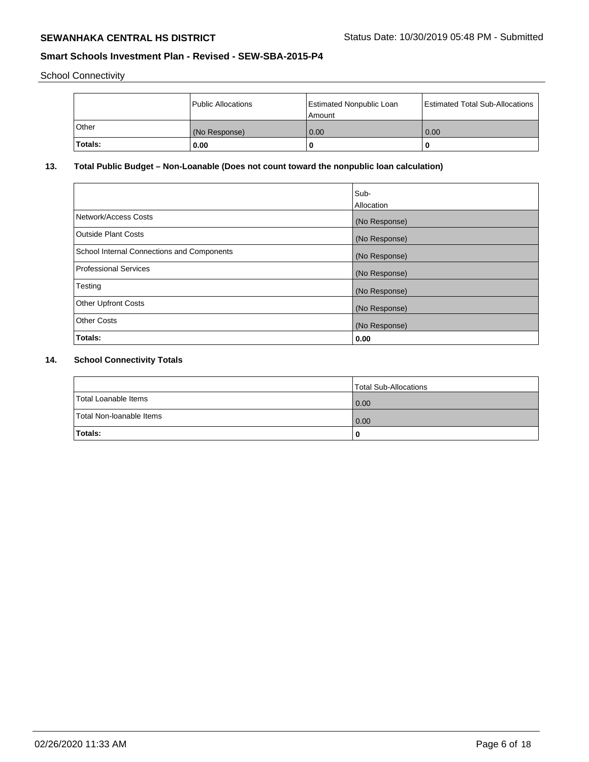School Connectivity

|         | Public Allocations | Estimated Nonpublic Loan<br>l Amount i | Estimated Total Sub-Allocations |
|---------|--------------------|----------------------------------------|---------------------------------|
| l Other | (No Response)      | 0.00                                   | 0.00                            |
| Totals: | 0.00               | 0                                      | 0                               |

# **13. Total Public Budget – Non-Loanable (Does not count toward the nonpublic loan calculation)**

|                                                   | Sub-<br>Allocation |
|---------------------------------------------------|--------------------|
| Network/Access Costs                              | (No Response)      |
| Outside Plant Costs                               | (No Response)      |
| <b>School Internal Connections and Components</b> | (No Response)      |
| <b>Professional Services</b>                      | (No Response)      |
| Testing                                           | (No Response)      |
| <b>Other Upfront Costs</b>                        | (No Response)      |
| <b>Other Costs</b>                                | (No Response)      |
| Totals:                                           | 0.00               |

# **14. School Connectivity Totals**

|                          | Total Sub-Allocations |
|--------------------------|-----------------------|
| Total Loanable Items     | 0.00                  |
| Total Non-Ioanable Items | 0.00                  |
| Totals:                  | 0                     |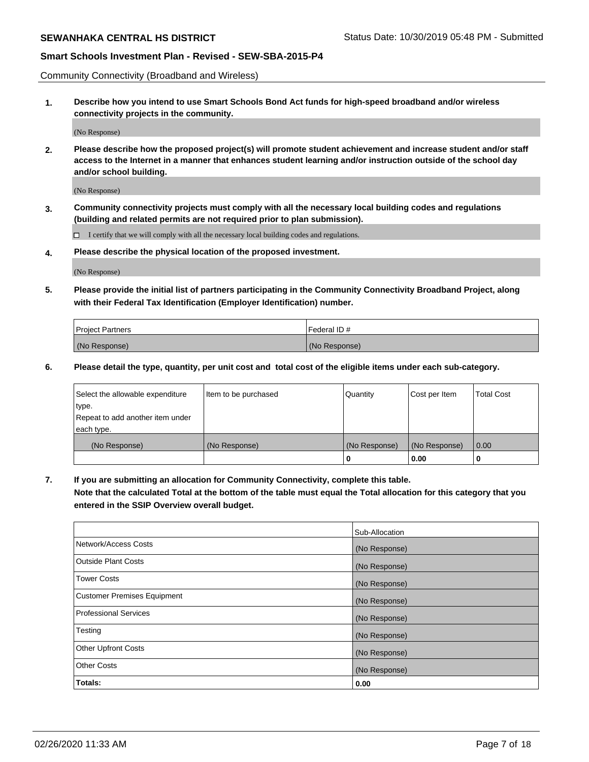Community Connectivity (Broadband and Wireless)

**1. Describe how you intend to use Smart Schools Bond Act funds for high-speed broadband and/or wireless connectivity projects in the community.**

(No Response)

**2. Please describe how the proposed project(s) will promote student achievement and increase student and/or staff access to the Internet in a manner that enhances student learning and/or instruction outside of the school day and/or school building.**

(No Response)

**3. Community connectivity projects must comply with all the necessary local building codes and regulations (building and related permits are not required prior to plan submission).**

 $\Box$  I certify that we will comply with all the necessary local building codes and regulations.

**4. Please describe the physical location of the proposed investment.**

(No Response)

**5. Please provide the initial list of partners participating in the Community Connectivity Broadband Project, along with their Federal Tax Identification (Employer Identification) number.**

| <b>Project Partners</b> | l Federal ID # |
|-------------------------|----------------|
| (No Response)           | (No Response)  |

**6. Please detail the type, quantity, per unit cost and total cost of the eligible items under each sub-category.**

| Select the allowable expenditure | Item to be purchased | Quantity      | Cost per Item | <b>Total Cost</b> |
|----------------------------------|----------------------|---------------|---------------|-------------------|
| type.                            |                      |               |               |                   |
| Repeat to add another item under |                      |               |               |                   |
| each type.                       |                      |               |               |                   |
| (No Response)                    | (No Response)        | (No Response) | (No Response) | 0.00              |
|                                  |                      | o             | 0.00          |                   |

**7. If you are submitting an allocation for Community Connectivity, complete this table.**

**Note that the calculated Total at the bottom of the table must equal the Total allocation for this category that you entered in the SSIP Overview overall budget.**

|                                    | Sub-Allocation |
|------------------------------------|----------------|
| Network/Access Costs               | (No Response)  |
| Outside Plant Costs                | (No Response)  |
| <b>Tower Costs</b>                 | (No Response)  |
| <b>Customer Premises Equipment</b> | (No Response)  |
| <b>Professional Services</b>       | (No Response)  |
| Testing                            | (No Response)  |
| <b>Other Upfront Costs</b>         | (No Response)  |
| <b>Other Costs</b>                 | (No Response)  |
| Totals:                            | 0.00           |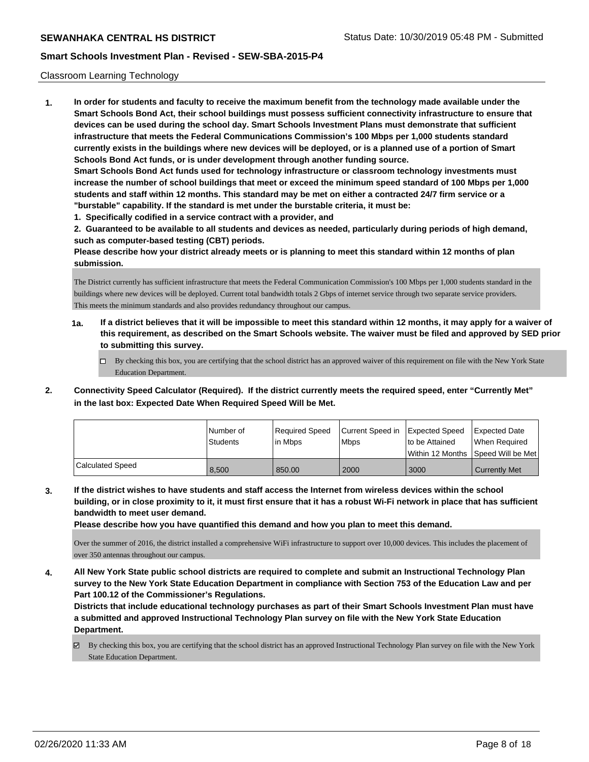### Classroom Learning Technology

**1. In order for students and faculty to receive the maximum benefit from the technology made available under the Smart Schools Bond Act, their school buildings must possess sufficient connectivity infrastructure to ensure that devices can be used during the school day. Smart Schools Investment Plans must demonstrate that sufficient infrastructure that meets the Federal Communications Commission's 100 Mbps per 1,000 students standard currently exists in the buildings where new devices will be deployed, or is a planned use of a portion of Smart Schools Bond Act funds, or is under development through another funding source. Smart Schools Bond Act funds used for technology infrastructure or classroom technology investments must increase the number of school buildings that meet or exceed the minimum speed standard of 100 Mbps per 1,000 students and staff within 12 months. This standard may be met on either a contracted 24/7 firm service or a "burstable" capability. If the standard is met under the burstable criteria, it must be: 1. Specifically codified in a service contract with a provider, and**

**2. Guaranteed to be available to all students and devices as needed, particularly during periods of high demand, such as computer-based testing (CBT) periods.**

**Please describe how your district already meets or is planning to meet this standard within 12 months of plan submission.**

The District currently has sufficient infrastructure that meets the Federal Communication Commission's 100 Mbps per 1,000 students standard in the buildings where new devices will be deployed. Current total bandwidth totals 2 Gbps of internet service through two separate service providers. This meets the minimum standards and also provides redundancy throughout our campus.

- **1a. If a district believes that it will be impossible to meet this standard within 12 months, it may apply for a waiver of this requirement, as described on the Smart Schools website. The waiver must be filed and approved by SED prior to submitting this survey.**
	- $\Box$  By checking this box, you are certifying that the school district has an approved waiver of this requirement on file with the New York State Education Department.
- **2. Connectivity Speed Calculator (Required). If the district currently meets the required speed, enter "Currently Met" in the last box: Expected Date When Required Speed Will be Met.**

|                         | l Number of | Required Speed | Current Speed in | <b>Expected Speed</b> | Expected Date        |
|-------------------------|-------------|----------------|------------------|-----------------------|----------------------|
|                         | Students    | l in Mbps      | <b>Mbps</b>      | to be Attained        | When Required        |
|                         |             |                |                  | l Within 12 Months    | Speed Will be Met    |
| <b>Calculated Speed</b> | 8.500       | 850.00         | 2000             | 3000                  | <b>Currently Met</b> |

**3. If the district wishes to have students and staff access the Internet from wireless devices within the school building, or in close proximity to it, it must first ensure that it has a robust Wi-Fi network in place that has sufficient bandwidth to meet user demand.**

**Please describe how you have quantified this demand and how you plan to meet this demand.**

Over the summer of 2016, the district installed a comprehensive WiFi infrastructure to support over 10,000 devices. This includes the placement of over 350 antennas throughout our campus.

**4. All New York State public school districts are required to complete and submit an Instructional Technology Plan survey to the New York State Education Department in compliance with Section 753 of the Education Law and per Part 100.12 of the Commissioner's Regulations.**

**Districts that include educational technology purchases as part of their Smart Schools Investment Plan must have a submitted and approved Instructional Technology Plan survey on file with the New York State Education Department.**

By checking this box, you are certifying that the school district has an approved Instructional Technology Plan survey on file with the New York State Education Department.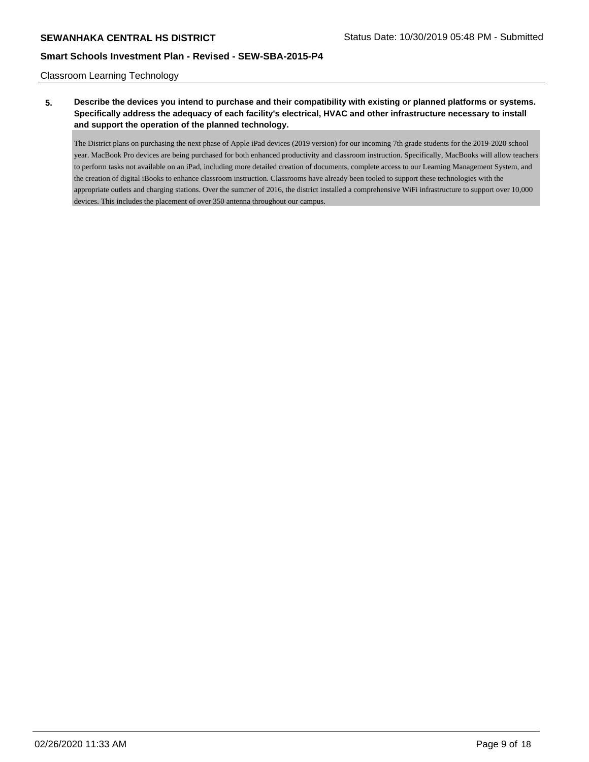Classroom Learning Technology

# **5. Describe the devices you intend to purchase and their compatibility with existing or planned platforms or systems. Specifically address the adequacy of each facility's electrical, HVAC and other infrastructure necessary to install and support the operation of the planned technology.**

The District plans on purchasing the next phase of Apple iPad devices (2019 version) for our incoming 7th grade students for the 2019-2020 school year. MacBook Pro devices are being purchased for both enhanced productivity and classroom instruction. Specifically, MacBooks will allow teachers to perform tasks not available on an iPad, including more detailed creation of documents, complete access to our Learning Management System, and the creation of digital iBooks to enhance classroom instruction. Classrooms have already been tooled to support these technologies with the appropriate outlets and charging stations. Over the summer of 2016, the district installed a comprehensive WiFi infrastructure to support over 10,000 devices. This includes the placement of over 350 antenna throughout our campus.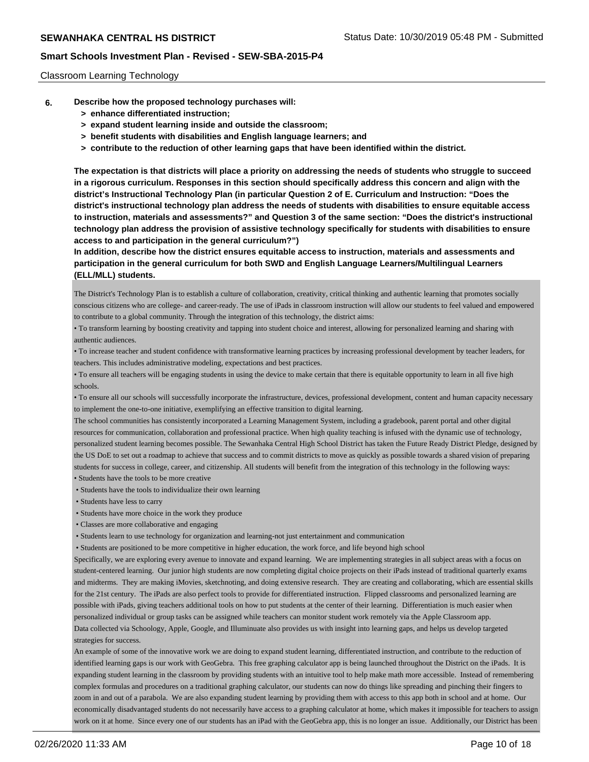### Classroom Learning Technology

- **6. Describe how the proposed technology purchases will:**
	- **> enhance differentiated instruction;**
	- **> expand student learning inside and outside the classroom;**
	- **> benefit students with disabilities and English language learners; and**
	- **> contribute to the reduction of other learning gaps that have been identified within the district.**

**The expectation is that districts will place a priority on addressing the needs of students who struggle to succeed in a rigorous curriculum. Responses in this section should specifically address this concern and align with the district's Instructional Technology Plan (in particular Question 2 of E. Curriculum and Instruction: "Does the district's instructional technology plan address the needs of students with disabilities to ensure equitable access to instruction, materials and assessments?" and Question 3 of the same section: "Does the district's instructional technology plan address the provision of assistive technology specifically for students with disabilities to ensure access to and participation in the general curriculum?")**

**In addition, describe how the district ensures equitable access to instruction, materials and assessments and participation in the general curriculum for both SWD and English Language Learners/Multilingual Learners (ELL/MLL) students.**

The District's Technology Plan is to establish a culture of collaboration, creativity, critical thinking and authentic learning that promotes socially conscious citizens who are college- and career-ready. The use of iPads in classroom instruction will allow our students to feel valued and empowered to contribute to a global community. Through the integration of this technology, the district aims:

• To transform learning by boosting creativity and tapping into student choice and interest, allowing for personalized learning and sharing with authentic audiences.

• To increase teacher and student confidence with transformative learning practices by increasing professional development by teacher leaders, for teachers. This includes administrative modeling, expectations and best practices.

• To ensure all teachers will be engaging students in using the device to make certain that there is equitable opportunity to learn in all five high schools.

• To ensure all our schools will successfully incorporate the infrastructure, devices, professional development, content and human capacity necessary to implement the one-to-one initiative, exemplifying an effective transition to digital learning.

The school communities has consistently incorporated a Learning Management System, including a gradebook, parent portal and other digital resources for communication, collaboration and professional practice. When high quality teaching is infused with the dynamic use of technology, personalized student learning becomes possible. The Sewanhaka Central High School District has taken the Future Ready District Pledge, designed by the US DoE to set out a roadmap to achieve that success and to commit districts to move as quickly as possible towards a shared vision of preparing students for success in college, career, and citizenship. All students will benefit from the integration of this technology in the following ways: • Students have the tools to be more creative

• Students have the tools to individualize their own learning

• Students have less to carry

- Students have more choice in the work they produce
- Classes are more collaborative and engaging
- Students learn to use technology for organization and learning-not just entertainment and communication
- Students are positioned to be more competitive in higher education, the work force, and life beyond high school

Specifically, we are exploring every avenue to innovate and expand learning. We are implementing strategies in all subject areas with a focus on student-centered learning. Our junior high students are now completing digital choice projects on their iPads instead of traditional quarterly exams and midterms. They are making iMovies, sketchnoting, and doing extensive research. They are creating and collaborating, which are essential skills for the 21st century. The iPads are also perfect tools to provide for differentiated instruction. Flipped classrooms and personalized learning are possible with iPads, giving teachers additional tools on how to put students at the center of their learning. Differentiation is much easier when personalized individual or group tasks can be assigned while teachers can monitor student work remotely via the Apple Classroom app. Data collected via Schoology, Apple, Google, and Illuminuate also provides us with insight into learning gaps, and helps us develop targeted strategies for success.

An example of some of the innovative work we are doing to expand student learning, differentiated instruction, and contribute to the reduction of identified learning gaps is our work with GeoGebra. This free graphing calculator app is being launched throughout the District on the iPads. It is expanding student learning in the classroom by providing students with an intuitive tool to help make math more accessible. Instead of remembering complex formulas and procedures on a traditional graphing calculator, our students can now do things like spreading and pinching their fingers to zoom in and out of a parabola. We are also expanding student learning by providing them with access to this app both in school and at home. Our economically disadvantaged students do not necessarily have access to a graphing calculator at home, which makes it impossible for teachers to assign work on it at home. Since every one of our students has an iPad with the GeoGebra app, this is no longer an issue. Additionally, our District has been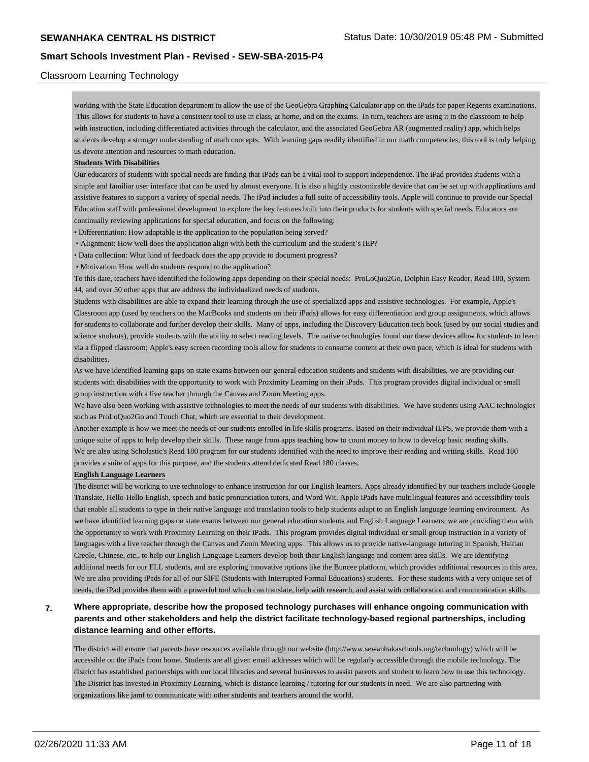## Classroom Learning Technology

working with the State Education department to allow the use of the GeoGebra Graphing Calculator app on the iPads for paper Regents examinations. This allows for students to have a consistent tool to use in class, at home, and on the exams. In turn, teachers are using it in the classroom to help with instruction, including differentiated activities through the calculator, and the associated GeoGebra AR (augmented reality) app, which helps students develop a stronger understanding of math concepts. With learning gaps readily identified in our math competencies, this tool is truly helping us devote attention and resources to math education.

### **Students With Disabilities**

Our educators of students with special needs are finding that iPads can be a vital tool to support independence. The iPad provides students with a simple and familiar user interface that can be used by almost everyone. It is also a highly customizable device that can be set up with applications and assistive features to support a variety of special needs. The iPad includes a full suite of accessibility tools. Apple will continue to provide our Special Education staff with professional development to explore the key features built into their products for students with special needs. Educators are continually reviewing applications for special education, and focus on the following:

• Differentiation: How adaptable is the application to the population being served?

• Alignment: How well does the application align with both the curriculum and the student's IEP?

• Data collection: What kind of feedback does the app provide to document progress?

• Motivation: How well do students respond to the application?

To this date, teachers have identified the following apps depending on their special needs: ProLoQuo2Go, Dolphin Easy Reader, Read 180, System 44, and over 50 other apps that are address the individualized needs of students.

Students with disabilities are able to expand their learning through the use of specialized apps and assistive technologies. For example, Apple's Classroom app (used by teachers on the MacBooks and students on their iPads) allows for easy differentiation and group assignments, which allows for students to collaborate and further develop their skills. Many of apps, including the Discovery Education tech book (used by our social studies and science students), provide students with the ability to select reading levels. The native technologies found our these devices allow for students to learn via a flipped classroom; Apple's easy screen recording tools allow for students to consume content at their own pace, which is ideal for students with disabilities.

As we have identified learning gaps on state exams between our general education students and students with disabilities, we are providing our students with disabilities with the opportunity to work with Proximity Learning on their iPads. This program provides digital individual or small group instruction with a live teacher through the Canvas and Zoom Meeting apps.

We have also been working with assistive technologies to meet the needs of our students with disabilities. We have students using AAC technologies such as ProLoQuo2Go and Touch Chat, which are essential to their development.

Another example is how we meet the needs of our students enrolled in life skills programs. Based on their individual IEPS, we provide them with a unique suite of apps to help develop their skills. These range from apps teaching how to count money to how to develop basic reading skills. We are also using Scholastic's Read 180 program for our students identified with the need to improve their reading and writing skills. Read 180 provides a suite of apps for this purpose, and the students attend dedicated Read 180 classes.

### **English Language Learners**

The district will be working to use technology to enhance instruction for our English learners. Apps already identified by our teachers include Google Translate, Hello-Hello English, speech and basic pronunciation tutors, and Word Wit. Apple iPads have multilingual features and accessibility tools that enable all students to type in their native language and translation tools to help students adapt to an English language learning environment. As we have identified learning gaps on state exams between our general education students and English Language Learners, we are providing them with the opportunity to work with Proximity Learning on their iPads. This program provides digital individual or small group instruction in a variety of languages with a live teacher through the Canvas and Zoom Meeting apps. This allows us to provide native-language tutoring in Spanish, Haitian Creole, Chinese, etc., to help our English Language Learners develop both their English language and content area skills. We are identifying additional needs for our ELL students, and are exploring innovative options like the Buncee platform, which provides additional resources in this area. We are also providing iPads for all of our SIFE (Students with Interrupted Formal Educations) students. For these students with a very unique set of needs, the iPad provides them with a powerful tool which can translate, help with research, and assist with collaboration and communication skills.

# **7. Where appropriate, describe how the proposed technology purchases will enhance ongoing communication with parents and other stakeholders and help the district facilitate technology-based regional partnerships, including distance learning and other efforts.**

The district will ensure that parents have resources available through our website (http://www.sewanhakaschools.org/technology) which will be accessible on the iPads from home. Students are all given email addresses which will be regularly accessible through the mobile technology. The district has established partnerships with our local libraries and several businesses to assist parents and student to learn how to use this technology. The District has invested in Proximity Learning, which is distance learning / tutoring for our students in need. We are also partnering with organizations like jamf to communicate with other students and teachers around the world.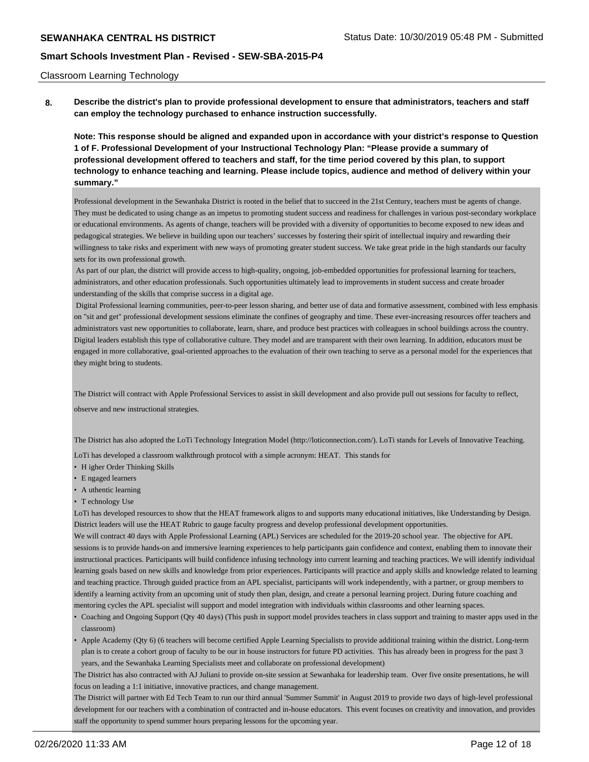### Classroom Learning Technology

**8. Describe the district's plan to provide professional development to ensure that administrators, teachers and staff can employ the technology purchased to enhance instruction successfully.**

**Note: This response should be aligned and expanded upon in accordance with your district's response to Question 1 of F. Professional Development of your Instructional Technology Plan: "Please provide a summary of professional development offered to teachers and staff, for the time period covered by this plan, to support technology to enhance teaching and learning. Please include topics, audience and method of delivery within your summary."**

Professional development in the Sewanhaka District is rooted in the belief that to succeed in the 21st Century, teachers must be agents of change. They must be dedicated to using change as an impetus to promoting student success and readiness for challenges in various post-secondary workplace or educational environments. As agents of change, teachers will be provided with a diversity of opportunities to become exposed to new ideas and pedagogical strategies. We believe in building upon our teachers' successes by fostering their spirit of intellectual inquiry and rewarding their willingness to take risks and experiment with new ways of promoting greater student success. We take great pride in the high standards our faculty sets for its own professional growth.

 As part of our plan, the district will provide access to high-quality, ongoing, job-embedded opportunities for professional learning for teachers, administrators, and other education professionals. Such opportunities ultimately lead to improvements in student success and create broader understanding of the skills that comprise success in a digital age.

 Digital Professional learning communities, peer-to-peer lesson sharing, and better use of data and formative assessment, combined with less emphasis on "sit and get" professional development sessions eliminate the confines of geography and time. These ever-increasing resources offer teachers and administrators vast new opportunities to collaborate, learn, share, and produce best practices with colleagues in school buildings across the country. Digital leaders establish this type of collaborative culture. They model and are transparent with their own learning. In addition, educators must be engaged in more collaborative, goal-oriented approaches to the evaluation of their own teaching to serve as a personal model for the experiences that they might bring to students.

The District will contract with Apple Professional Services to assist in skill development and also provide pull out sessions for faculty to reflect,

observe and new instructional strategies.

The District has also adopted the LoTi Technology Integration Model (http://loticonnection.com/). LoTi stands for Levels of Innovative Teaching.

LoTi has developed a classroom walkthrough protocol with a simple acronym: HEAT. This stands for

- H igher Order Thinking Skills
- E ngaged learners
- A uthentic learning
- T echnology Use

LoTi has developed resources to show that the HEAT framework aligns to and supports many educational initiatives, like Understanding by Design. District leaders will use the HEAT Rubric to gauge faculty progress and develop professional development opportunities.

We will contract 40 days with Apple Professional Learning (APL) Services are scheduled for the 2019-20 school year. The objective for APL sessions is to provide hands-on and immersive learning experiences to help participants gain confidence and context, enabling them to innovate their instructional practices. Participants will build confidence infusing technology into current learning and teaching practices. We will identify individual learning goals based on new skills and knowledge from prior experiences. Participants will practice and apply skills and knowledge related to learning and teaching practice. Through guided practice from an APL specialist, participants will work independently, with a partner, or group members to identify a learning activity from an upcoming unit of study then plan, design, and create a personal learning project. During future coaching and mentoring cycles the APL specialist will support and model integration with individuals within classrooms and other learning spaces.

- Coaching and Ongoing Support (Qty 40 days) (This push in support model provides teachers in class support and training to master apps used in the classroom)
- Apple Academy (Qty 6) (6 teachers will become certified Apple Learning Specialists to provide additional training within the district. Long-term plan is to create a cohort group of faculty to be our in house instructors for future PD activities. This has already been in progress for the past 3 years, and the Sewanhaka Learning Specialists meet and collaborate on professional development)

The District has also contracted with AJ Juliani to provide on-site session at Sewanhaka for leadership team. Over five onsite presentations, he will focus on leading a 1:1 initiative, innovative practices, and change management.

The District will partner with Ed Tech Team to run our third annual 'Summer Summit' in August 2019 to provide two days of high-level professional development for our teachers with a combination of contracted and in-house educators. This event focuses on creativity and innovation, and provides staff the opportunity to spend summer hours preparing lessons for the upcoming year.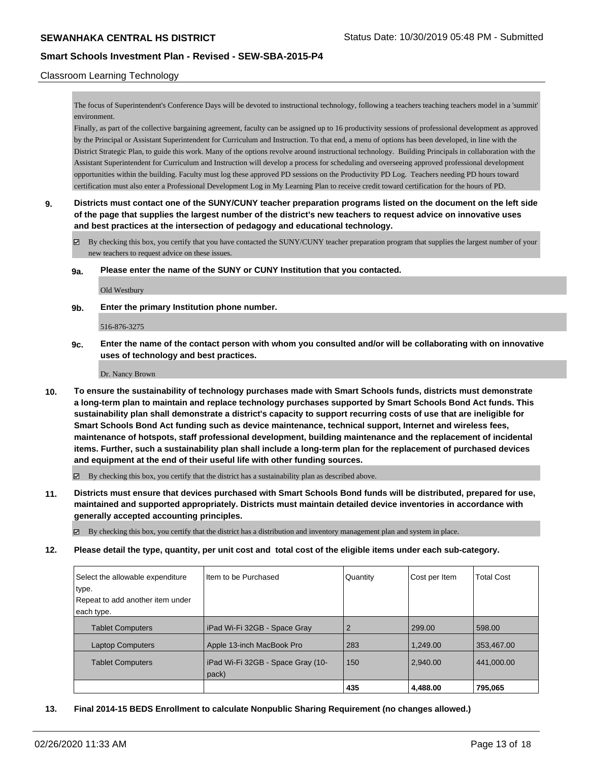## Classroom Learning Technology

The focus of Superintendent's Conference Days will be devoted to instructional technology, following a teachers teaching teachers model in a 'summit' environment.

Finally, as part of the collective bargaining agreement, faculty can be assigned up to 16 productivity sessions of professional development as approved by the Principal or Assistant Superintendent for Curriculum and Instruction. To that end, a menu of options has been developed, in line with the District Strategic Plan, to guide this work. Many of the options revolve around instructional technology. Building Principals in collaboration with the Assistant Superintendent for Curriculum and Instruction will develop a process for scheduling and overseeing approved professional development opportunities within the building. Faculty must log these approved PD sessions on the Productivity PD Log. Teachers needing PD hours toward certification must also enter a Professional Development Log in My Learning Plan to receive credit toward certification for the hours of PD.

# **9. Districts must contact one of the SUNY/CUNY teacher preparation programs listed on the document on the left side of the page that supplies the largest number of the district's new teachers to request advice on innovative uses and best practices at the intersection of pedagogy and educational technology.**

By checking this box, you certify that you have contacted the SUNY/CUNY teacher preparation program that supplies the largest number of your new teachers to request advice on these issues.

**9a. Please enter the name of the SUNY or CUNY Institution that you contacted.**

Old Westbury

**9b. Enter the primary Institution phone number.**

516-876-3275

**9c. Enter the name of the contact person with whom you consulted and/or will be collaborating with on innovative uses of technology and best practices.**

Dr. Nancy Brown

**10. To ensure the sustainability of technology purchases made with Smart Schools funds, districts must demonstrate a long-term plan to maintain and replace technology purchases supported by Smart Schools Bond Act funds. This sustainability plan shall demonstrate a district's capacity to support recurring costs of use that are ineligible for Smart Schools Bond Act funding such as device maintenance, technical support, Internet and wireless fees, maintenance of hotspots, staff professional development, building maintenance and the replacement of incidental items. Further, such a sustainability plan shall include a long-term plan for the replacement of purchased devices and equipment at the end of their useful life with other funding sources.**

By checking this box, you certify that the district has a sustainability plan as described above.

**11. Districts must ensure that devices purchased with Smart Schools Bond funds will be distributed, prepared for use, maintained and supported appropriately. Districts must maintain detailed device inventories in accordance with generally accepted accounting principles.**

By checking this box, you certify that the district has a distribution and inventory management plan and system in place.

#### **12. Please detail the type, quantity, per unit cost and total cost of the eligible items under each sub-category.**

| Select the allowable expenditure | Iltem to be Purchased             | Quantity       | Cost per Item | <b>Total Cost</b> |
|----------------------------------|-----------------------------------|----------------|---------------|-------------------|
| type.                            |                                   |                |               |                   |
| Repeat to add another item under |                                   |                |               |                   |
| each type.                       |                                   |                |               |                   |
| <b>Tablet Computers</b>          | iPad Wi-Fi 32GB - Space Gray      | $\overline{2}$ | 299.00        | 598.00            |
| <b>Laptop Computers</b>          | Apple 13-inch MacBook Pro         | 283            | 1.249.00      | 353,467.00        |
| <b>Tablet Computers</b>          | iPad Wi-Fi 32GB - Space Gray (10- | 150            | 2,940.00      | 441,000.00        |
|                                  | pack)                             |                |               |                   |
|                                  |                                   | 435            | 4,488.00      | 795,065           |

#### **13. Final 2014-15 BEDS Enrollment to calculate Nonpublic Sharing Requirement (no changes allowed.)**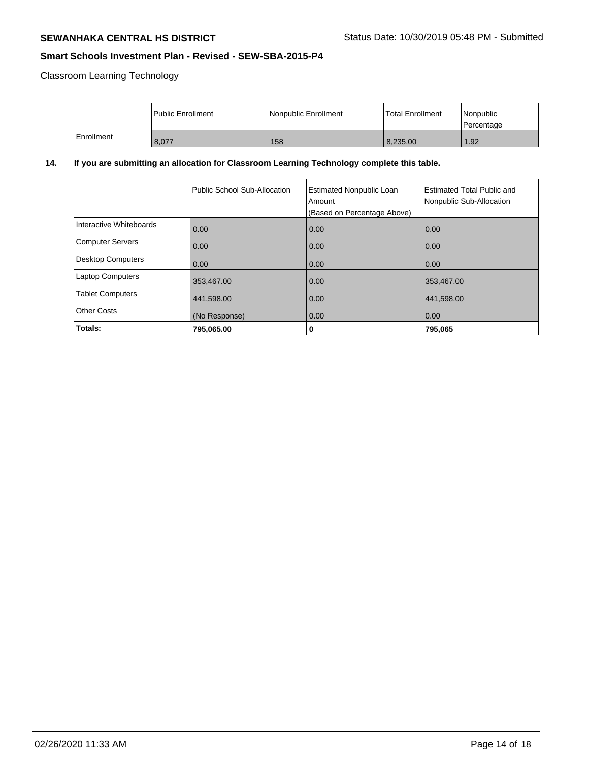Classroom Learning Technology

|              | l Public Enrollment | Nonpublic Enrollment | <b>Total Enrollment</b> | Nonpublic<br>Percentage |
|--------------|---------------------|----------------------|-------------------------|-------------------------|
| l Enrollment | 8,077               | 158                  | 8,235.00                | 1.92                    |

# **14. If you are submitting an allocation for Classroom Learning Technology complete this table.**

|                          | Public School Sub-Allocation | <b>Estimated Nonpublic Loan</b><br>Amount | <b>Estimated Total Public and</b><br>Nonpublic Sub-Allocation |
|--------------------------|------------------------------|-------------------------------------------|---------------------------------------------------------------|
|                          |                              | (Based on Percentage Above)               |                                                               |
| Interactive Whiteboards  | 0.00                         | 0.00                                      | 0.00                                                          |
| <b>Computer Servers</b>  | 0.00                         | 0.00                                      | 0.00                                                          |
| <b>Desktop Computers</b> | 0.00                         | 0.00                                      | 0.00                                                          |
| <b>Laptop Computers</b>  | 353,467.00                   | 0.00                                      | 353,467.00                                                    |
| <b>Tablet Computers</b>  | 441,598.00                   | 0.00                                      | 441,598.00                                                    |
| <b>Other Costs</b>       | (No Response)                | 0.00                                      | 0.00                                                          |
| Totals:                  | 795,065.00                   | 0                                         | 795,065                                                       |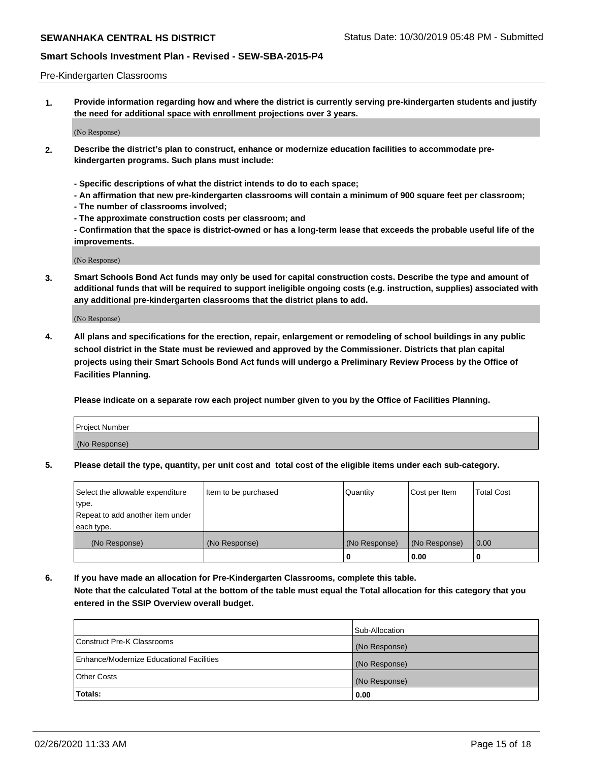### Pre-Kindergarten Classrooms

**1. Provide information regarding how and where the district is currently serving pre-kindergarten students and justify the need for additional space with enrollment projections over 3 years.**

(No Response)

- **2. Describe the district's plan to construct, enhance or modernize education facilities to accommodate prekindergarten programs. Such plans must include:**
	- **Specific descriptions of what the district intends to do to each space;**
	- **An affirmation that new pre-kindergarten classrooms will contain a minimum of 900 square feet per classroom;**
	- **The number of classrooms involved;**
	- **The approximate construction costs per classroom; and**
	- **Confirmation that the space is district-owned or has a long-term lease that exceeds the probable useful life of the improvements.**

(No Response)

**3. Smart Schools Bond Act funds may only be used for capital construction costs. Describe the type and amount of additional funds that will be required to support ineligible ongoing costs (e.g. instruction, supplies) associated with any additional pre-kindergarten classrooms that the district plans to add.**

(No Response)

**4. All plans and specifications for the erection, repair, enlargement or remodeling of school buildings in any public school district in the State must be reviewed and approved by the Commissioner. Districts that plan capital projects using their Smart Schools Bond Act funds will undergo a Preliminary Review Process by the Office of Facilities Planning.**

**Please indicate on a separate row each project number given to you by the Office of Facilities Planning.**

| Project Number |  |
|----------------|--|
| (No Response)  |  |
|                |  |

**5. Please detail the type, quantity, per unit cost and total cost of the eligible items under each sub-category.**

| Select the allowable expenditure | Item to be purchased | Quantity      | Cost per Item | <b>Total Cost</b> |
|----------------------------------|----------------------|---------------|---------------|-------------------|
| type.                            |                      |               |               |                   |
| Repeat to add another item under |                      |               |               |                   |
| each type.                       |                      |               |               |                   |
| (No Response)                    | (No Response)        | (No Response) | (No Response) | 0.00              |
|                                  |                      | o             | 0.00          | u                 |

**6. If you have made an allocation for Pre-Kindergarten Classrooms, complete this table. Note that the calculated Total at the bottom of the table must equal the Total allocation for this category that you entered in the SSIP Overview overall budget.**

|                                          | Sub-Allocation |
|------------------------------------------|----------------|
| Construct Pre-K Classrooms               | (No Response)  |
| Enhance/Modernize Educational Facilities | (No Response)  |
| <b>Other Costs</b>                       | (No Response)  |
| Totals:                                  | 0.00           |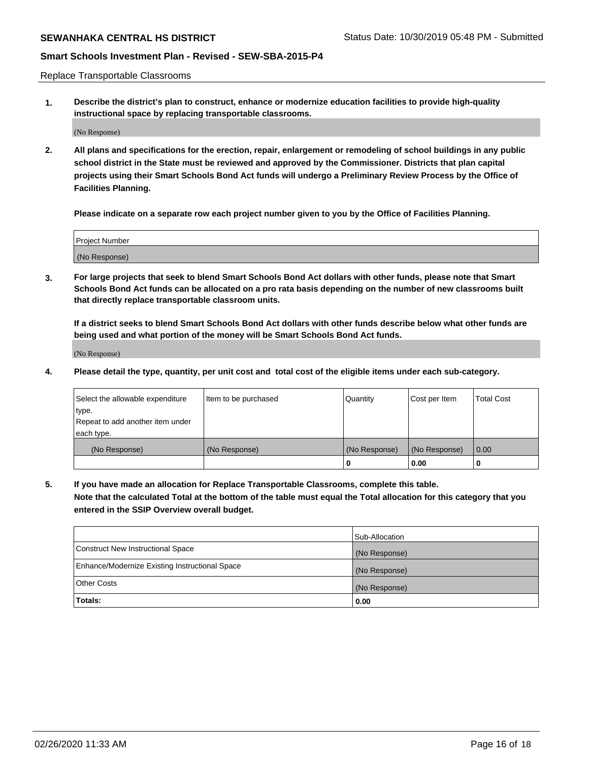Replace Transportable Classrooms

**1. Describe the district's plan to construct, enhance or modernize education facilities to provide high-quality instructional space by replacing transportable classrooms.**

(No Response)

**2. All plans and specifications for the erection, repair, enlargement or remodeling of school buildings in any public school district in the State must be reviewed and approved by the Commissioner. Districts that plan capital projects using their Smart Schools Bond Act funds will undergo a Preliminary Review Process by the Office of Facilities Planning.**

**Please indicate on a separate row each project number given to you by the Office of Facilities Planning.**

| Project Number |  |
|----------------|--|
|                |  |
| (No Response)  |  |

**3. For large projects that seek to blend Smart Schools Bond Act dollars with other funds, please note that Smart Schools Bond Act funds can be allocated on a pro rata basis depending on the number of new classrooms built that directly replace transportable classroom units.**

**If a district seeks to blend Smart Schools Bond Act dollars with other funds describe below what other funds are being used and what portion of the money will be Smart Schools Bond Act funds.**

(No Response)

**4. Please detail the type, quantity, per unit cost and total cost of the eligible items under each sub-category.**

| Select the allowable expenditure | Item to be purchased | Quantity      | Cost per Item | <b>Total Cost</b> |
|----------------------------------|----------------------|---------------|---------------|-------------------|
| ∣type.                           |                      |               |               |                   |
| Repeat to add another item under |                      |               |               |                   |
| each type.                       |                      |               |               |                   |
| (No Response)                    | (No Response)        | (No Response) | (No Response) | 0.00              |
|                                  |                      | 0             | 0.00          |                   |

**5. If you have made an allocation for Replace Transportable Classrooms, complete this table. Note that the calculated Total at the bottom of the table must equal the Total allocation for this category that you entered in the SSIP Overview overall budget.**

|                                                | Sub-Allocation |
|------------------------------------------------|----------------|
| Construct New Instructional Space              | (No Response)  |
| Enhance/Modernize Existing Instructional Space | (No Response)  |
| Other Costs                                    | (No Response)  |
| Totals:                                        | 0.00           |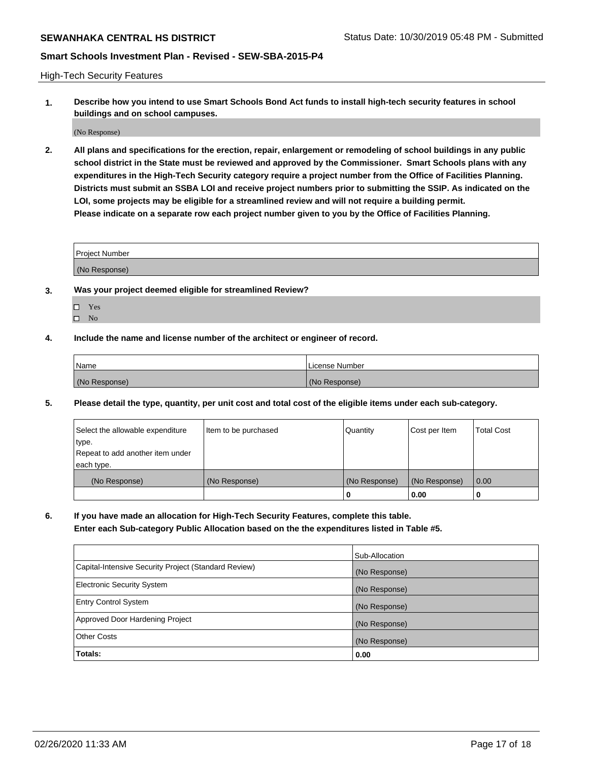High-Tech Security Features

**1. Describe how you intend to use Smart Schools Bond Act funds to install high-tech security features in school buildings and on school campuses.**

(No Response)

**2. All plans and specifications for the erection, repair, enlargement or remodeling of school buildings in any public school district in the State must be reviewed and approved by the Commissioner. Smart Schools plans with any expenditures in the High-Tech Security category require a project number from the Office of Facilities Planning. Districts must submit an SSBA LOI and receive project numbers prior to submitting the SSIP. As indicated on the LOI, some projects may be eligible for a streamlined review and will not require a building permit. Please indicate on a separate row each project number given to you by the Office of Facilities Planning.**

| <b>Project Number</b> |  |
|-----------------------|--|
|                       |  |
| (No Response)         |  |

- **3. Was your project deemed eligible for streamlined Review?**
	- Yes
	- $\hfill \Box$  No
- **4. Include the name and license number of the architect or engineer of record.**

| <b>Name</b>   | License Number |
|---------------|----------------|
| (No Response) | (No Response)  |

**5. Please detail the type, quantity, per unit cost and total cost of the eligible items under each sub-category.**

| Select the allowable expenditure | Item to be purchased | Quantity      | Cost per Item | Total Cost |
|----------------------------------|----------------------|---------------|---------------|------------|
| 'type.                           |                      |               |               |            |
| Repeat to add another item under |                      |               |               |            |
| each type.                       |                      |               |               |            |
| (No Response)                    | (No Response)        | (No Response) | (No Response) | 0.00       |
|                                  |                      | u             | 0.00          |            |

**6. If you have made an allocation for High-Tech Security Features, complete this table.**

**Enter each Sub-category Public Allocation based on the the expenditures listed in Table #5.**

|                                                      | Sub-Allocation |
|------------------------------------------------------|----------------|
| Capital-Intensive Security Project (Standard Review) | (No Response)  |
| <b>Electronic Security System</b>                    | (No Response)  |
| <b>Entry Control System</b>                          | (No Response)  |
| Approved Door Hardening Project                      | (No Response)  |
| <b>Other Costs</b>                                   | (No Response)  |
| Totals:                                              | 0.00           |